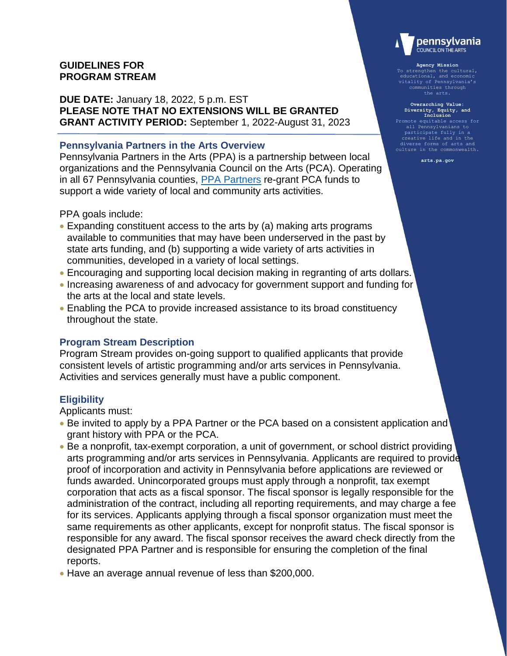# **GUIDELINES FOR PROGRAM STREAM**

**DUE DATE:** January 18, 2022, 5 p.m. EST **PLEASE NOTE THAT NO EXTENSIONS WILL BE GRANTED GRANT ACTIVITY PERIOD:** September 1, 2022-August 31, 2023

### **Pennsylvania Partners in the Arts Overview**

Pennsylvania Partners in the Arts (PPA) is a partnership between local organizations and the Pennsylvania Council on the Arts (PCA). Operating in all 67 Pennsylvania counties, [PPA Partners](https://www.arts.pa.gov/Documents/2021-2022_PCA_PPA_Partnership_Info.pdf) re-grant PCA funds to support a wide variety of local and community arts activities.

PPA goals include:

- Expanding constituent access to the arts by (a) making arts programs available to communities that may have been underserved in the past by state arts funding, and (b) supporting a wide variety of arts activities in communities, developed in a variety of local settings.
- Encouraging and supporting local decision making in regranting of arts dollars.
- Increasing awareness of and advocacy for government support and funding for the arts at the local and state levels.
- Enabling the PCA to provide increased assistance to its broad constituency throughout the state.

## **Program Stream Description**

Program Stream provides on-going support to qualified applicants that provide consistent levels of artistic programming and/or arts services in Pennsylvania. Activities and services generally must have a public component.

## **Eligibility**

Applicants must:

- Be invited to apply by a PPA Partner or the PCA based on a consistent application and grant history with PPA or the PCA.
- Be a nonprofit, tax-exempt corporation, a unit of government, or school district providing arts programming and/or arts services in Pennsylvania. Applicants are required to provide proof of incorporation and activity in Pennsylvania before applications are reviewed or funds awarded. Unincorporated groups must apply through a nonprofit, tax exempt corporation that acts as a fiscal sponsor. The fiscal sponsor is legally responsible for the administration of the contract, including all reporting requirements, and may charge a fee for its services. Applicants applying through a fiscal sponsor organization must meet the same requirements as other applicants, except for nonprofit status. The fiscal sponsor is responsible for any award. The fiscal sponsor receives the award check directly from the designated PPA Partner and is responsible for ensuring the completion of the final reports.
- Have an average annual revenue of less than \$200,000.



**Agency Mission** To strengthen the cultural, educational, and economic vitality of Pennsylvania's communities through

**Overarching Value: Diversity, Equity, and Inclusion** Promote equitable access for all Pennsylvanians to participate fully in a creative life and in the culture in the commonwealth.

**arts.pa.gov**